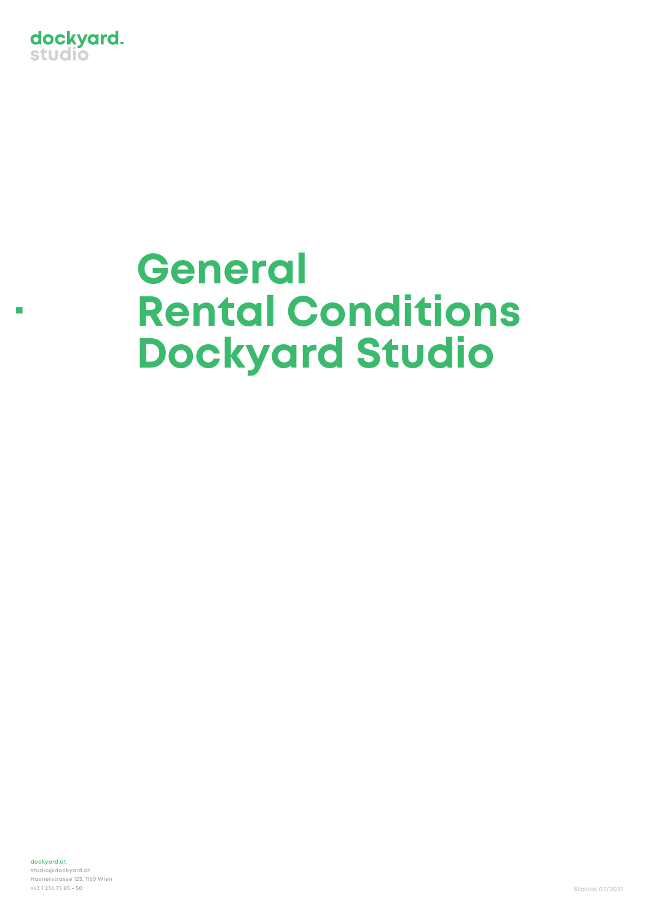

**.**

# **General Rental Conditions Dockyard Studio**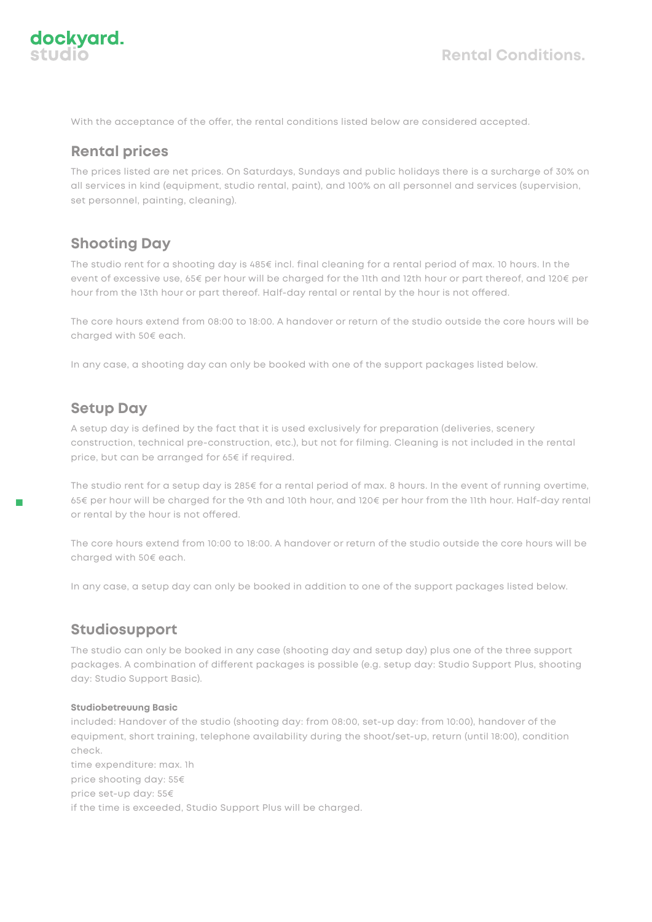

With the acceptance of the offer, the rental conditions listed below are considered accepted.

### **Rental prices**

The prices listed are net prices. On Saturdays, Sundays and public holidays there is a surcharge of 30% on all services in kind (equipment, studio rental, paint), and 100% on all personnel and services (supervision, set personnel, painting, cleaning).

## **Shooting Day**

The studio rent for a shooting day is 485€ incl. final cleaning for a rental period of max. 10 hours. In the event of excessive use, 65€ per hour will be charged for the 11th and 12th hour or part thereof, and 120€ per hour from the 13th hour or part thereof. Half-day rental or rental by the hour is not offered.

The core hours extend from 08:00 to 18:00. A handover or return of the studio outside the core hours will be charged with 50€ each.

In any case, a shooting day can only be booked with one of the support packages listed below.

# **Setup Day**

**.**

A setup day is defined by the fact that it is used exclusively for preparation (deliveries, scenery construction, technical pre-construction, etc.), but not for filming. Cleaning is not included in the rental price, but can be arranged for 65€ if required.

The studio rent for a setup day is 285€ for a rental period of max. 8 hours. In the event of running overtime, 65€ per hour will be charged for the 9th and 10th hour, and 120€ per hour from the 11th hour. Half-day rental or rental by the hour is not offered.

The core hours extend from 10:00 to 18:00. A handover or return of the studio outside the core hours will be charged with 50€ each.

In any case, a setup day can only be booked in addition to one of the support packages listed below.

## **Studiosupport**

The studio can only be booked in any case (shooting day and setup day) plus one of the three support packages. A combination of different packages is possible (e.g. setup day: Studio Support Plus, shooting day: Studio Support Basic).

#### **Studiobetreuung Basic**

included: Handover of the studio (shooting day: from 08:00, set-up day: from 10:00), handover of the equipment, short training, telephone availability during the shoot/set-up, return (until 18:00), condition check.

time expenditure: max. 1h price shooting day: 55€ price set-up day: 55€ if the time is exceeded, Studio Support Plus will be charged.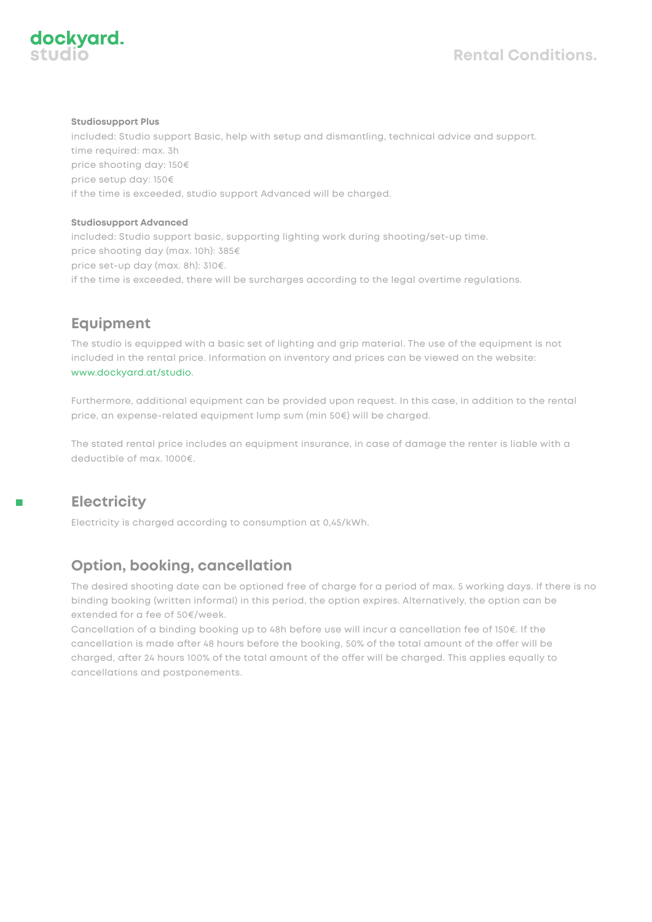

#### **Studiosupport Plus**

included: Studio support Basic, help with setup and dismantling, technical advice and support. time required: max. 3h price shooting day: 150€ price setup day: 150€ if the time is exceeded, studio support Advanced will be charged.

#### **Studiosupport Advanced**

included: Studio support basic, supporting lighting work during shooting/set-up time. price shooting day (max. 10h): 385€ price set-up day (max. 8h): 310€. if the time is exceeded, there will be surcharges according to the legal overtime regulations.

# **Equipment**

The studio is equipped with a basic set of lighting and grip material. The use of the equipment is not included in the rental price. Information on inventory and prices can be viewed on the website: www.dockyard.at/studio.

Furthermore, additional equipment can be provided upon request. In this case, in addition to the rental price, an expense-related equipment lump sum (min 50€) will be charged.

The stated rental price includes an equipment insurance, in case of damage the renter is liable with a deductible of max. 1000€.

# **Electricity**

Electricity is charged according to consumption at 0,45/kWh.

# **Option, booking, cancellation**

The desired shooting date can be optioned free of charge for a period of max. 5 working days. If there is no binding booking (written informal) in this period, the option expires. Alternatively, the option can be extended for a fee of 50€/week.

Cancellation of a binding booking up to 48h before use will incur a cancellation fee of 150€. If the cancellation is made after 48 hours before the booking, 50% of the total amount of the offer will be charged, after 24 hours 100% of the total amount of the offer will be charged. This applies equally to cancellations and postponements.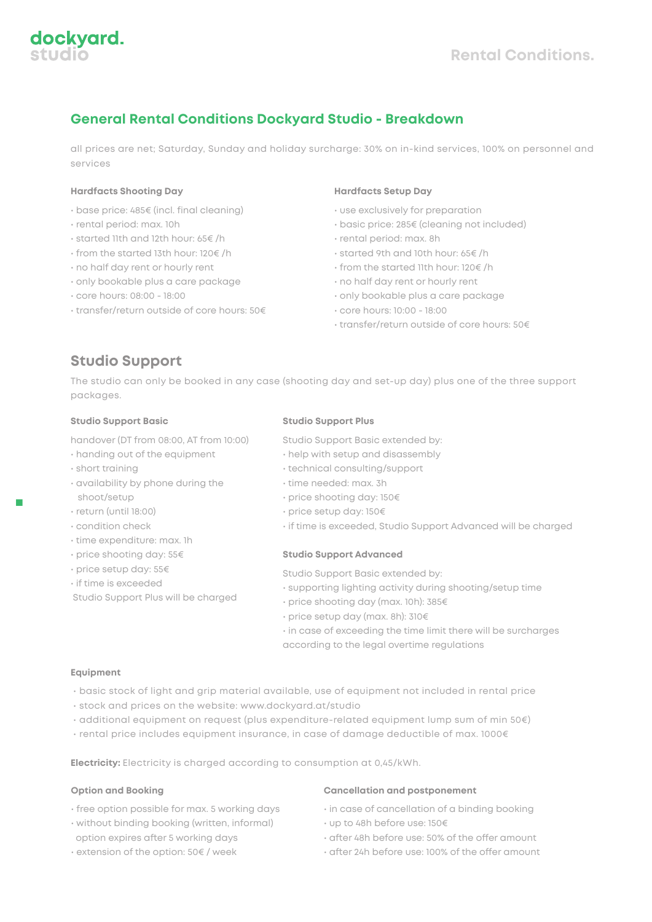## **General Rental Conditions Dockyard Studio - Breakdown**

all prices are net; Saturday, Sunday and holiday surcharge: 30% on in-kind services, 100% on personnel and services

#### **Hardfacts Shooting Day**

- base price: 485€ (incl. final cleaning)
- rental period: max. 10h
- started 11th and 12th hour: 65€ /h
- from the started 13th hour: 120€ /h
- no half day rent or hourly rent
- only bookable plus a care package
- core hours: 08:00 18:00
- transfer/return outside of core hours: 50€

#### **Hardfacts Setup Day**

- use exclusively for preparation
- basic price: 285€ (cleaning not included)
- rental period: max. 8h
- started 9th and 10th hour: 65€ /h
- from the started 11th hour: 120€ /h
- no half day rent or hourly rent
- only bookable plus a care package
- core hours: 10:00 18:00
- transfer/return outside of core hours: 50€

## **Studio Support**

The studio can only be booked in any case (shooting day and set-up day) plus one of the three support packages.

#### **Studio Support Basic**

handover (DT from 08:00, AT from 10:00)

- handing out of the equipment
- short training

**.**

- availability by phone during the shoot/setup
- return (until 18:00)
- condition check
- time expenditure: max. 1h
- price shooting day: 55€
- price setup day: 55€
- if time is exceeded
- Studio Support Plus will be charged

#### **Studio Support Plus**

- Studio Support Basic extended by:
- help with setup and disassembly
- technical consulting/support
- time needed: max. 3h
- price shooting day: 150€
- price setup day: 150€
- if time is exceeded, Studio Support Advanced will be charged

#### **Studio Support Advanced**

Studio Support Basic extended by:

- supporting lighting activity during shooting/setup time
- price shooting day (max. 10h): 385€
- price setup day (max. 8h): 310€

• in case of exceeding the time limit there will be surcharges according to the legal overtime regulations

#### **Equipment**

- basic stock of light and grip material available, use of equipment not included in rental price
- stock and prices on the website: www.dockyard.at/studio
- additional equipment on request (plus expenditure-related equipment lump sum of min 50€)
- rental price includes equipment insurance, in case of damage deductible of max. 1000€

**Electricity:** Electricity is charged according to consumption at 0,45/kWh.

#### **Option and Booking**

- free option possible for max. 5 working days
- without binding booking (written, informal) option expires after 5 working days
- extension of the option: 50€ / week

#### **Cancellation and postponement**

- in case of cancellation of a binding booking
- up to 48h before use: 150€
- $\cdot$  after 48h before use: 50% of the offer amount
- after 24h before use: 100% of the offer amount



dockyard.